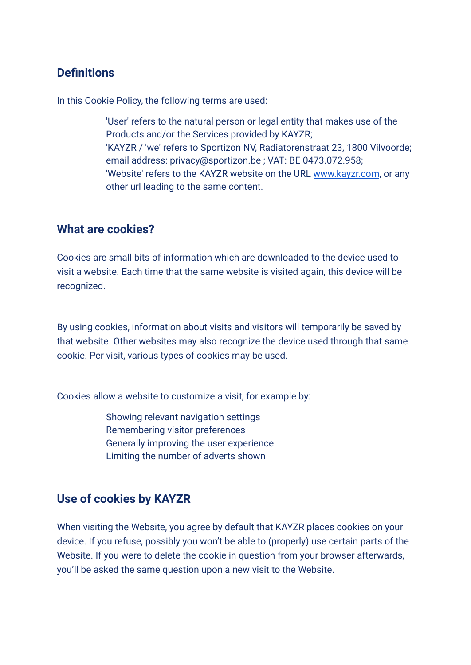# **Definitions**

In this Cookie Policy, the following terms are used:

'User' refers to the natural person or legal entity that makes use of the Products and/or the Services provided by KAYZR; 'KAYZR / 'we' refers to Sportizon NV, Radiatorenstraat 23, 1800 Vilvoorde; email address: privacy@sportizon.be ; VAT: BE 0473.072.958; 'Website' refers to the KAYZR website on the URL [www.kayzr.com](https://hincha.com/), or any other url leading to the same content.

#### **What are cookies?**

Cookies are small bits of information which are downloaded to the device used to visit a website. Each time that the same website is visited again, this device will be recognized.

By using cookies, information about visits and visitors will temporarily be saved by that website. Other websites may also recognize the device used through that same cookie. Per visit, various types of cookies may be used.

Cookies allow a website to customize a visit, for example by:

Showing relevant navigation settings Remembering visitor preferences Generally improving the user experience Limiting the number of adverts shown

# **Use of cookies by KAYZR**

When visiting the Website, you agree by default that KAYZR places cookies on your device. If you refuse, possibly you won't be able to (properly) use certain parts of the Website. If you were to delete the cookie in question from your browser afterwards, you'll be asked the same question upon a new visit to the Website.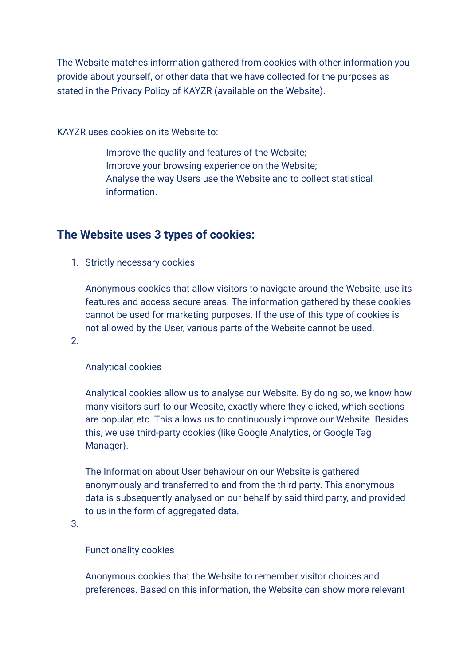The Website matches information gathered from cookies with other information you provide about yourself, or other data that we have collected for the purposes as stated in the Privacy Policy of KAYZR (available on the Website).

KAYZR uses cookies on its Website to:

Improve the quality and features of the Website; Improve your browsing experience on the Website; Analyse the way Users use the Website and to collect statistical information.

# **The Website uses 3 types of cookies:**

1. Strictly necessary cookies

Anonymous cookies that allow visitors to navigate around the Website, use its features and access secure areas. The information gathered by these cookies cannot be used for marketing purposes. If the use of this type of cookies is not allowed by the User, various parts of the Website cannot be used.

2.

#### Analytical cookies

Analytical cookies allow us to analyse our Website. By doing so, we know how many visitors surf to our Website, exactly where they clicked, which sections are popular, etc. This allows us to continuously improve our Website. Besides this, we use third-party cookies (like Google Analytics, or Google Tag Manager).

The Information about User behaviour on our Website is gathered anonymously and transferred to and from the third party. This anonymous data is subsequently analysed on our behalf by said third party, and provided to us in the form of aggregated data.

3.

#### Functionality cookies

Anonymous cookies that the Website to remember visitor choices and preferences. Based on this information, the Website can show more relevant